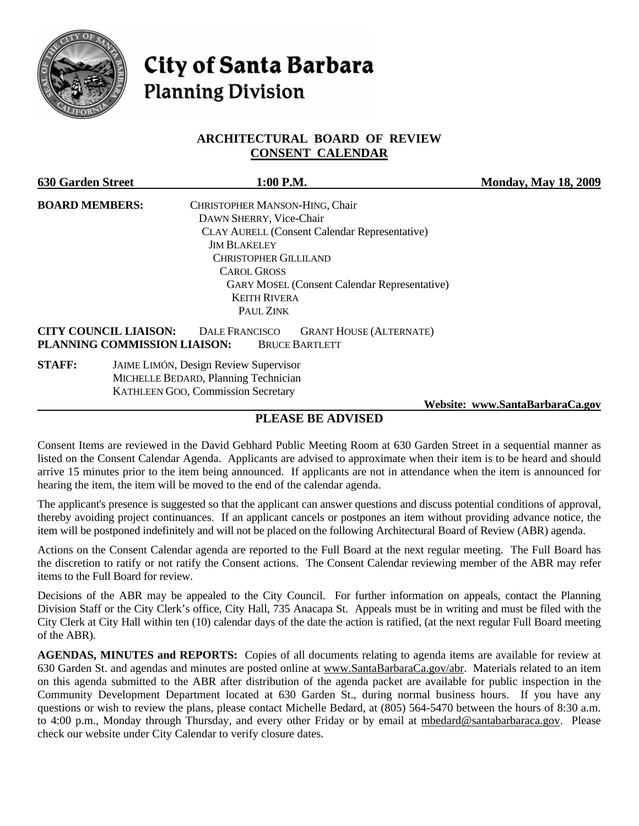

# City of Santa Barbara **Planning Division**

### **ARCHITECTURAL BOARD OF REVIEW CONSENT CALENDAR**

| <b>630 Garden Street</b> |                                                              | 1:00 P.M.                                    |                                                      | <b>Monday, May 18, 2009</b>     |
|--------------------------|--------------------------------------------------------------|----------------------------------------------|------------------------------------------------------|---------------------------------|
| <b>BOARD MEMBERS:</b>    |                                                              | CHRISTOPHER MANSON-HING, Chair               |                                                      |                                 |
|                          |                                                              | DAWN SHERRY, Vice-Chair                      |                                                      |                                 |
|                          |                                                              |                                              | <b>CLAY AURELL (Consent Calendar Representative)</b> |                                 |
|                          |                                                              | <b>JIM BLAKELEY</b>                          |                                                      |                                 |
|                          |                                                              | CHRISTOPHER GILLILAND                        |                                                      |                                 |
|                          |                                                              | <b>CAROL GROSS</b>                           |                                                      |                                 |
|                          |                                                              |                                              | <b>GARY MOSEL (Consent Calendar Representative)</b>  |                                 |
|                          |                                                              | <b>KEITH RIVERA</b>                          |                                                      |                                 |
|                          |                                                              | PAUL ZINK                                    |                                                      |                                 |
|                          | <b>CITY COUNCIL LIAISON:</b><br>PLANNING COMMISSION LIAISON: | DALE FRANCISCO<br><b>BRUCE BARTLETT</b>      | <b>GRANT HOUSE (ALTERNATE)</b>                       |                                 |
| <b>STAFF:</b>            |                                                              | <b>JAIME LIMÓN, Design Review Supervisor</b> |                                                      |                                 |
|                          |                                                              | MICHELLE BEDARD, Planning Technician         |                                                      |                                 |
|                          |                                                              | KATHLEEN GOO, Commission Secretary           |                                                      |                                 |
|                          |                                                              |                                              |                                                      | Website: www.SantaBarbaraCa.gov |

## **PLEASE BE ADVISED**

Consent Items are reviewed in the David Gebhard Public Meeting Room at 630 Garden Street in a sequential manner as listed on the Consent Calendar Agenda. Applicants are advised to approximate when their item is to be heard and should arrive 15 minutes prior to the item being announced. If applicants are not in attendance when the item is announced for hearing the item, the item will be moved to the end of the calendar agenda.

The applicant's presence is suggested so that the applicant can answer questions and discuss potential conditions of approval, thereby avoiding project continuances. If an applicant cancels or postpones an item without providing advance notice, the item will be postponed indefinitely and will not be placed on the following Architectural Board of Review (ABR) agenda.

Actions on the Consent Calendar agenda are reported to the Full Board at the next regular meeting. The Full Board has the discretion to ratify or not ratify the Consent actions. The Consent Calendar reviewing member of the ABR may refer items to the Full Board for review.

Decisions of the ABR may be appealed to the City Council. For further information on appeals, contact the Planning Division Staff or the City Clerk's office, City Hall, 735 Anacapa St. Appeals must be in writing and must be filed with the City Clerk at City Hall within ten (10) calendar days of the date the action is ratified, (at the next regular Full Board meeting of the ABR).

**AGENDAS, MINUTES and REPORTS:** Copies of all documents relating to agenda items are available for review at 630 Garden St. and agendas and minutes are posted online at [www.SantaBarbaraCa.gov/abr.](http://www.santabarbaraca.gov/abr) Materials related to an item on this agenda submitted to the ABR after distribution of the agenda packet are available for public inspection in the Community Development Department located at 630 Garden St., during normal business hours. If you have any questions or wish to review the plans, please contact Michelle Bedard, at (805) 564-5470 between the hours of 8:30 a.m. to 4:00 p.m., Monday through Thursday, and every other Friday or by email at [mbedard@santabarbaraca.gov.](mailto:mbedard@santabarbaraca.gov) Please check our website under City Calendar to verify closure dates.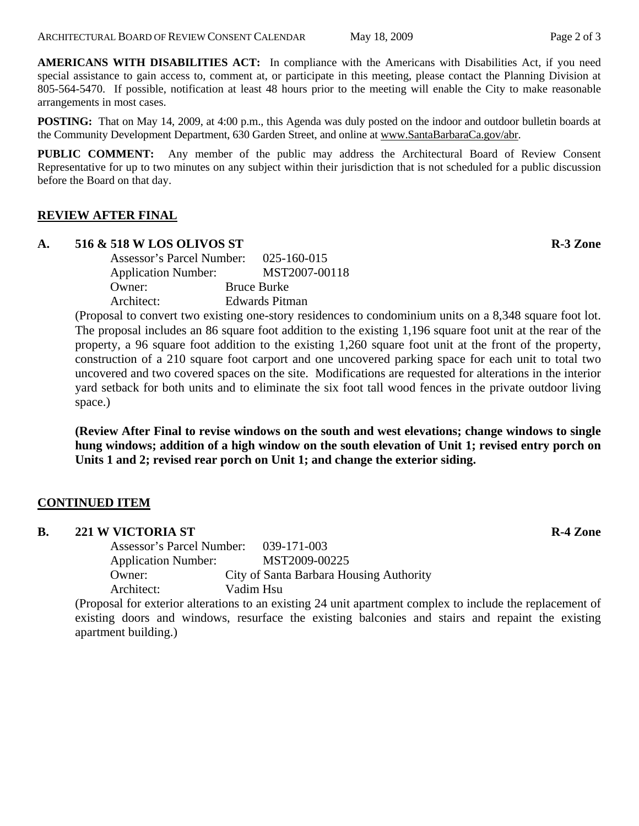**AMERICANS WITH DISABILITIES ACT:** In compliance with the Americans with Disabilities Act, if you need special assistance to gain access to, comment at, or participate in this meeting, please contact the Planning Division at 805-564-5470. If possible, notification at least 48 hours prior to the meeting will enable the City to make reasonable arrangements in most cases.

**POSTING:** That on May 14, 2009, at 4:00 p.m., this Agenda was duly posted on the indoor and outdoor bulletin boards at the Community Development Department, 630 Garden Street, and online at [www.SantaBarbaraCa.gov/abr.](http://www.santabarbaraca.gov/abr)

**PUBLIC COMMENT:** Any member of the public may address the Architectural Board of Review Consent Representative for up to two minutes on any subject within their jurisdiction that is not scheduled for a public discussion before the Board on that day.

## **REVIEW AFTER FINAL**

#### **A. 516 & 518 W LOS OLIVOS ST R-3 Zone**

Assessor's Parcel Number: 025-160-015 Application Number: MST2007-00118 Owner: Bruce Burke Architect: Edwards Pitman

(Proposal to convert two existing one-story residences to condominium units on a 8,348 square foot lot. The proposal includes an 86 square foot addition to the existing 1,196 square foot unit at the rear of the property, a 96 square foot addition to the existing 1,260 square foot unit at the front of the property, construction of a 210 square foot carport and one uncovered parking space for each unit to total two uncovered and two covered spaces on the site. Modifications are requested for alterations in the interior yard setback for both units and to eliminate the six foot tall wood fences in the private outdoor living space.)

**(Review After Final to revise windows on the south and west elevations; change windows to single hung windows; addition of a high window on the south elevation of Unit 1; revised entry porch on Units 1 and 2; revised rear porch on Unit 1; and change the exterior siding.** 

## **CONTINUED ITEM**

| <b>B.</b> | <b>221 W VICTORIA ST</b> | <b>R-4 Zone</b> |
|-----------|--------------------------|-----------------|
|           |                          |                 |

Assessor's Parcel Number: 039-171-003 Application Number: MST2009-00225 Owner: City of Santa Barbara Housing Authority Architect: Vadim Hsu

(Proposal for exterior alterations to an existing 24 unit apartment complex to include the replacement of existing doors and windows, resurface the existing balconies and stairs and repaint the existing apartment building.)